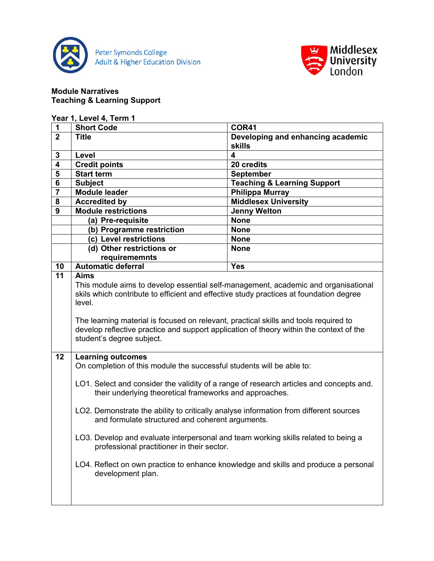



### **Module Narratives Teaching & Learning Support**

| $\mathbf 1$             | <b>Short Code</b>                                                                                                                | <b>COR41</b>                           |  |
|-------------------------|----------------------------------------------------------------------------------------------------------------------------------|----------------------------------------|--|
| $\overline{2}$          | <b>Title</b>                                                                                                                     | Developing and enhancing academic      |  |
|                         |                                                                                                                                  | <b>skills</b>                          |  |
| $\mathbf{3}$            | Level                                                                                                                            | 4                                      |  |
| 4                       | <b>Credit points</b>                                                                                                             | 20 credits                             |  |
| $\overline{\mathbf{5}}$ | <b>Start term</b>                                                                                                                | <b>September</b>                       |  |
| $\bf 6$                 | <b>Subject</b>                                                                                                                   | <b>Teaching &amp; Learning Support</b> |  |
| $\overline{\mathbf{7}}$ | <b>Module leader</b>                                                                                                             | <b>Philippa Murray</b>                 |  |
| 8                       | <b>Accredited by</b>                                                                                                             | <b>Middlesex University</b>            |  |
| 9                       | <b>Module restrictions</b>                                                                                                       | <b>Jenny Welton</b>                    |  |
|                         | (a) Pre-requisite                                                                                                                | <b>None</b>                            |  |
|                         | (b) Programme restriction                                                                                                        | <b>None</b>                            |  |
|                         | (c) Level restrictions                                                                                                           | <b>None</b>                            |  |
|                         | (d) Other restrictions or                                                                                                        | <b>None</b>                            |  |
|                         | requirememnts                                                                                                                    |                                        |  |
| 10                      | Automatic deferral                                                                                                               | <b>Yes</b>                             |  |
| 11                      | <b>Aims</b>                                                                                                                      |                                        |  |
|                         | This module aims to develop essential self-management, academic and organisational                                               |                                        |  |
|                         | skils which contribute to efficient and effective study practices at foundation degree                                           |                                        |  |
|                         | level.                                                                                                                           |                                        |  |
|                         |                                                                                                                                  |                                        |  |
|                         | The learning material is focused on relevant, practical skills and tools required to                                             |                                        |  |
|                         | develop reflective practice and support application of theory within the context of the                                          |                                        |  |
|                         | student's degree subject.                                                                                                        |                                        |  |
| 12                      | <b>Learning outcomes</b>                                                                                                         |                                        |  |
|                         | On completion of this module the successful students will be able to:                                                            |                                        |  |
|                         |                                                                                                                                  |                                        |  |
|                         | LO1. Select and consider the validity of a range of research articles and concepts and.                                          |                                        |  |
|                         | their underlying theoretical frameworks and approaches.                                                                          |                                        |  |
|                         |                                                                                                                                  |                                        |  |
|                         | LO2. Demonstrate the ability to critically analyse information from different sources                                            |                                        |  |
|                         | and formulate structured and coherent arguments.                                                                                 |                                        |  |
|                         |                                                                                                                                  |                                        |  |
|                         | LO3. Develop and evaluate interpersonal and team working skills related to being a<br>professional practitioner in their sector. |                                        |  |
|                         |                                                                                                                                  |                                        |  |
|                         |                                                                                                                                  |                                        |  |
|                         | LO4. Reflect on own practice to enhance knowledge and skills and produce a personal<br>development plan.                         |                                        |  |
|                         |                                                                                                                                  |                                        |  |
|                         |                                                                                                                                  |                                        |  |
|                         |                                                                                                                                  |                                        |  |
|                         |                                                                                                                                  |                                        |  |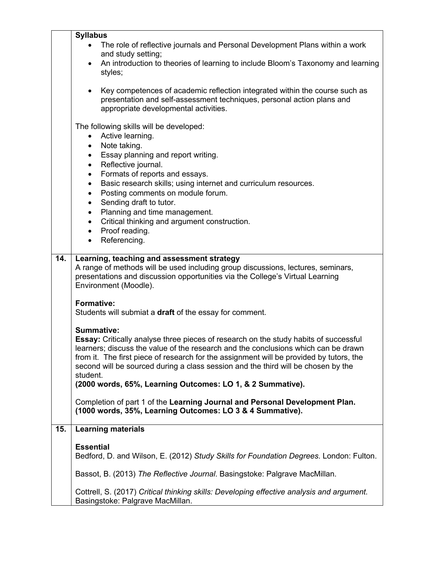|     | <b>Syllabus</b>                                                                                                                                                                                                                                                                                                                                                          |  |  |
|-----|--------------------------------------------------------------------------------------------------------------------------------------------------------------------------------------------------------------------------------------------------------------------------------------------------------------------------------------------------------------------------|--|--|
|     | The role of reflective journals and Personal Development Plans within a work<br>and study setting;                                                                                                                                                                                                                                                                       |  |  |
|     | An introduction to theories of learning to include Bloom's Taxonomy and learning<br>styles;                                                                                                                                                                                                                                                                              |  |  |
|     | Key competences of academic reflection integrated within the course such as<br>$\bullet$<br>presentation and self-assessment techniques, personal action plans and<br>appropriate developmental activities.                                                                                                                                                              |  |  |
|     | The following skills will be developed:<br>Active learning.                                                                                                                                                                                                                                                                                                              |  |  |
|     | Note taking.                                                                                                                                                                                                                                                                                                                                                             |  |  |
|     | Essay planning and report writing.<br>$\bullet$                                                                                                                                                                                                                                                                                                                          |  |  |
|     | Reflective journal.<br>$\bullet$<br>Formats of reports and essays.<br>$\bullet$                                                                                                                                                                                                                                                                                          |  |  |
|     | Basic research skills; using internet and curriculum resources.<br>$\bullet$                                                                                                                                                                                                                                                                                             |  |  |
|     | Posting comments on module forum.<br>$\bullet$                                                                                                                                                                                                                                                                                                                           |  |  |
|     | Sending draft to tutor.<br>$\bullet$                                                                                                                                                                                                                                                                                                                                     |  |  |
|     | Planning and time management.<br>$\bullet$<br>Critical thinking and argument construction.<br>$\bullet$                                                                                                                                                                                                                                                                  |  |  |
|     | Proof reading.<br>$\bullet$                                                                                                                                                                                                                                                                                                                                              |  |  |
|     | Referencing.<br>$\bullet$                                                                                                                                                                                                                                                                                                                                                |  |  |
| 14. | Learning, teaching and assessment strategy                                                                                                                                                                                                                                                                                                                               |  |  |
|     | A range of methods will be used including group discussions, lectures, seminars,<br>presentations and discussion opportunities via the College's Virtual Learning<br>Environment (Moodle).                                                                                                                                                                               |  |  |
|     | <b>Formative:</b>                                                                                                                                                                                                                                                                                                                                                        |  |  |
|     | Students will submiat a draft of the essay for comment.                                                                                                                                                                                                                                                                                                                  |  |  |
|     | Summative:<br>Essay: Critically analyse three pieces of research on the study habits of successful<br>learners; discuss the value of the research and the conclusions which can be drawn<br>from it. The first piece of research for the assignment will be provided by tutors, the<br>second will be sourced during a class session and the third will be chosen by the |  |  |
|     | student.<br>(2000 words, 65%, Learning Outcomes: LO 1, & 2 Summative).                                                                                                                                                                                                                                                                                                   |  |  |
|     | Completion of part 1 of the Learning Journal and Personal Development Plan.<br>(1000 words, 35%, Learning Outcomes: LO 3 & 4 Summative).                                                                                                                                                                                                                                 |  |  |
| 15. | <b>Learning materials</b>                                                                                                                                                                                                                                                                                                                                                |  |  |
|     | <b>Essential</b><br>Bedford, D. and Wilson, E. (2012) Study Skills for Foundation Degrees. London: Fulton.                                                                                                                                                                                                                                                               |  |  |
|     | Bassot, B. (2013) The Reflective Journal. Basingstoke: Palgrave MacMillan.                                                                                                                                                                                                                                                                                               |  |  |
|     | Cottrell, S. (2017) Critical thinking skills: Developing effective analysis and argument.<br>Basingstoke: Palgrave MacMillan.                                                                                                                                                                                                                                            |  |  |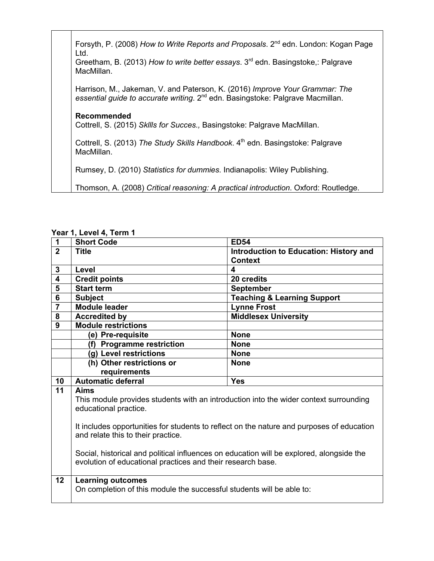Forsyth, P. (2008) *How to Write Reports and Proposals*. 2<sup>nd</sup> edn. London: Kogan Page Ltd. Greetham, B. (2013) *How to write better essays*. 3rd edn. Basingstoke,: Palgrave MacMillan. Harrison, M., Jakeman, V. and Paterson, K. (2016) *Improve Your Grammar: The*  essential guide to accurate writing. 2<sup>nd</sup> edn. Basingstoke: Palgrave Macmillan. **Recommended** Cottrell, S. (2015) *Skllls for Succes.,* Basingstoke: Palgrave MacMillan. Cottrell, S. (2013) *The Study Skills Handbook*. 4<sup>th</sup> edn. Basingstoke: Palgrave MacMillan. Rumsey, D. (2010) *Statistics for dummies*. Indianapolis: Wiley Publishing. Thomson, A. (2008) *Critical reasoning: A practical introduction*. Oxford: Routledge.

| 1                       | <b>Short Code</b>                                                                         | <b>ED54</b>                            |
|-------------------------|-------------------------------------------------------------------------------------------|----------------------------------------|
| $\overline{2}$          | <b>Title</b>                                                                              | Introduction to Education: History and |
|                         |                                                                                           | <b>Context</b>                         |
| $\mathbf{3}$            | Level                                                                                     | 4                                      |
| 4                       | <b>Credit points</b>                                                                      | 20 credits                             |
| 5                       | <b>Start term</b>                                                                         | <b>September</b>                       |
| 6                       | <b>Subject</b>                                                                            | <b>Teaching &amp; Learning Support</b> |
| $\overline{\mathbf{7}}$ | <b>Module leader</b>                                                                      | <b>Lynne Frost</b>                     |
| 8                       | <b>Accredited by</b>                                                                      | <b>Middlesex University</b>            |
| 9                       | <b>Module restrictions</b>                                                                |                                        |
|                         | (e) Pre-requisite                                                                         | <b>None</b>                            |
|                         | (f) Programme restriction                                                                 | <b>None</b>                            |
|                         | (g) Level restrictions                                                                    | <b>None</b>                            |
|                         | (h) Other restrictions or                                                                 | <b>None</b>                            |
|                         |                                                                                           |                                        |
|                         | requirements                                                                              |                                        |
| 10                      | <b>Automatic deferral</b>                                                                 | <b>Yes</b>                             |
| 11                      | Aims                                                                                      |                                        |
|                         | This module provides students with an introduction into the wider context surrounding     |                                        |
|                         | educational practice.                                                                     |                                        |
|                         |                                                                                           |                                        |
|                         | It includes opportunities for students to reflect on the nature and purposes of education |                                        |
|                         | and relate this to their practice.                                                        |                                        |
|                         |                                                                                           |                                        |
|                         | Social, historical and political influences on education will be explored, alongside the  |                                        |
|                         | evolution of educational practices and their research base.                               |                                        |
|                         |                                                                                           |                                        |
| 12                      | <b>Learning outcomes</b>                                                                  |                                        |
|                         | On completion of this module the successful students will be able to:                     |                                        |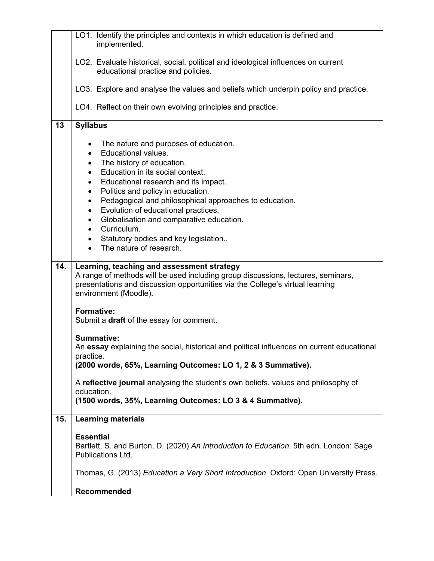|     | LO1. Identify the principles and contexts in which education is defined and<br>implemented.                                                                                                                                                                                                                                                                                                                                                                                                                                                                      |  |  |
|-----|------------------------------------------------------------------------------------------------------------------------------------------------------------------------------------------------------------------------------------------------------------------------------------------------------------------------------------------------------------------------------------------------------------------------------------------------------------------------------------------------------------------------------------------------------------------|--|--|
|     | LO2. Evaluate historical, social, political and ideological influences on current<br>educational practice and policies.                                                                                                                                                                                                                                                                                                                                                                                                                                          |  |  |
|     | LO3. Explore and analyse the values and beliefs which underpin policy and practice.                                                                                                                                                                                                                                                                                                                                                                                                                                                                              |  |  |
|     | LO4. Reflect on their own evolving principles and practice.                                                                                                                                                                                                                                                                                                                                                                                                                                                                                                      |  |  |
| 13  | <b>Syllabus</b>                                                                                                                                                                                                                                                                                                                                                                                                                                                                                                                                                  |  |  |
|     | The nature and purposes of education.<br>$\bullet$<br>Educational values.<br>$\bullet$<br>The history of education.<br>$\bullet$<br>Education in its social context.<br>$\bullet$<br>Educational research and its impact.<br>٠<br>Politics and policy in education.<br>$\bullet$<br>Pedagogical and philosophical approaches to education.<br>٠<br>Evolution of educational practices.<br>٠<br>Globalisation and comparative education.<br>$\bullet$<br>Curriculum.<br>$\bullet$<br>Statutory bodies and key legislation<br>$\bullet$<br>The nature of research. |  |  |
| 14. | Learning, teaching and assessment strategy                                                                                                                                                                                                                                                                                                                                                                                                                                                                                                                       |  |  |
|     | A range of methods will be used including group discussions, lectures, seminars,<br>presentations and discussion opportunities via the College's virtual learning<br>environment (Moodle).                                                                                                                                                                                                                                                                                                                                                                       |  |  |
|     | <b>Formative:</b><br>Submit a draft of the essay for comment.                                                                                                                                                                                                                                                                                                                                                                                                                                                                                                    |  |  |
|     | <b>Summative:</b><br>An essay explaining the social, historical and political influences on current educational<br>practice.<br>(2000 words, 65%, Learning Outcomes: LO 1, 2 & 3 Summative).                                                                                                                                                                                                                                                                                                                                                                     |  |  |
|     | A reflective journal analysing the student's own beliefs, values and philosophy of<br>education.<br>(1500 words, 35%, Learning Outcomes: LO 3 & 4 Summative).                                                                                                                                                                                                                                                                                                                                                                                                    |  |  |
| 15. | <b>Learning materials</b>                                                                                                                                                                                                                                                                                                                                                                                                                                                                                                                                        |  |  |
|     | <b>Essential</b><br>Bartlett, S. and Burton, D. (2020) An Introduction to Education. 5th edn. London: Sage<br>Publications Ltd.                                                                                                                                                                                                                                                                                                                                                                                                                                  |  |  |
|     | Thomas, G. (2013) Education a Very Short Introduction. Oxford: Open University Press.                                                                                                                                                                                                                                                                                                                                                                                                                                                                            |  |  |
|     | Recommended                                                                                                                                                                                                                                                                                                                                                                                                                                                                                                                                                      |  |  |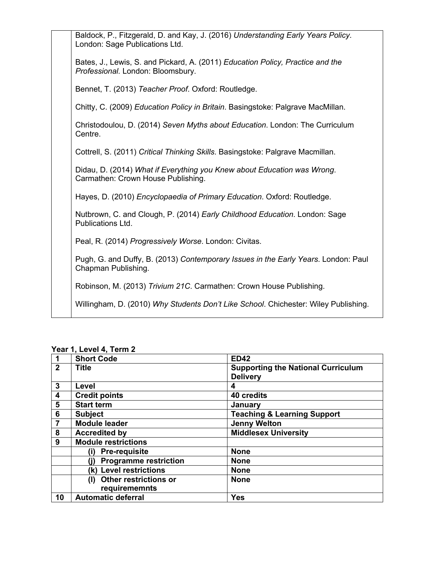| Baldock, P., Fitzgerald, D. and Kay, J. (2016) Understanding Early Years Policy.<br>London: Sage Publications Ltd.  |
|---------------------------------------------------------------------------------------------------------------------|
| Bates, J., Lewis, S. and Pickard, A. (2011) Education Policy, Practice and the<br>Professional. London: Bloomsbury. |
| Bennet, T. (2013) Teacher Proof. Oxford: Routledge.                                                                 |
| Chitty, C. (2009) Education Policy in Britain. Basingstoke: Palgrave MacMillan.                                     |
| Christodoulou, D. (2014) Seven Myths about Education. London: The Curriculum<br>Centre.                             |
| Cottrell, S. (2011) Critical Thinking Skills. Basingstoke: Palgrave Macmillan.                                      |
| Didau, D. (2014) What if Everything you Knew about Education was Wrong.<br>Carmathen: Crown House Publishing.       |
| Hayes, D. (2010) Encyclopaedia of Primary Education. Oxford: Routledge.                                             |
| Nutbrown, C. and Clough, P. (2014) Early Childhood Education. London: Sage<br>Publications Ltd.                     |
| Peal, R. (2014) Progressively Worse. London: Civitas.                                                               |
| Pugh, G. and Duffy, B. (2013) Contemporary Issues in the Early Years. London: Paul<br>Chapman Publishing.           |
| Robinson, M. (2013) Trivium 21C. Carmathen: Crown House Publishing.                                                 |
| Willingham, D. (2010) Why Students Don't Like School. Chichester: Wiley Publishing.                                 |

|              | <b>Short Code</b>                   | <b>ED42</b>                               |
|--------------|-------------------------------------|-------------------------------------------|
| $\mathbf{2}$ | <b>Title</b>                        | <b>Supporting the National Curriculum</b> |
|              |                                     | <b>Delivery</b>                           |
| 3            | Level                               | 4                                         |
| 4            | <b>Credit points</b>                | 40 credits                                |
| 5            | <b>Start term</b>                   | January                                   |
| 6            | <b>Subject</b>                      | <b>Teaching &amp; Learning Support</b>    |
|              | <b>Module leader</b>                | <b>Jenny Welton</b>                       |
| 8            | <b>Accredited by</b>                | <b>Middlesex University</b>               |
| 9            | <b>Module restrictions</b>          |                                           |
|              | (i)<br><b>Pre-requisite</b>         | <b>None</b>                               |
|              | <b>Programme restriction</b>        | <b>None</b>                               |
|              | (k) Level restrictions              | <b>None</b>                               |
|              | <b>Other restrictions or</b><br>(I) | <b>None</b>                               |
|              | requirememnts                       |                                           |
| 10           | <b>Automatic deferral</b>           | <b>Yes</b>                                |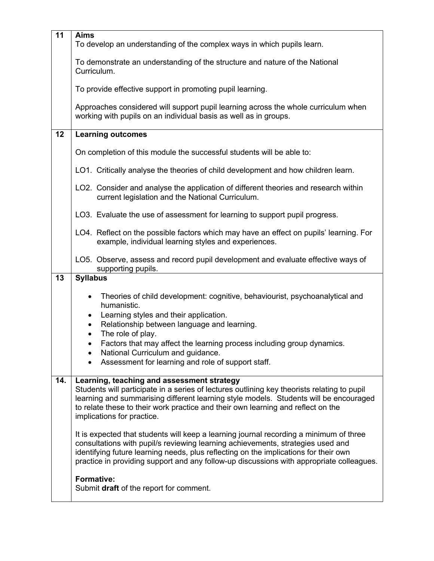| 11  | <b>Aims</b>                                                                                                                                                                                                                                                                                                                                                   |  |  |
|-----|---------------------------------------------------------------------------------------------------------------------------------------------------------------------------------------------------------------------------------------------------------------------------------------------------------------------------------------------------------------|--|--|
|     | To develop an understanding of the complex ways in which pupils learn.                                                                                                                                                                                                                                                                                        |  |  |
|     | To demonstrate an understanding of the structure and nature of the National<br>Curriculum.                                                                                                                                                                                                                                                                    |  |  |
|     | To provide effective support in promoting pupil learning.                                                                                                                                                                                                                                                                                                     |  |  |
|     | Approaches considered will support pupil learning across the whole curriculum when<br>working with pupils on an individual basis as well as in groups.                                                                                                                                                                                                        |  |  |
| 12  | <b>Learning outcomes</b>                                                                                                                                                                                                                                                                                                                                      |  |  |
|     | On completion of this module the successful students will be able to:                                                                                                                                                                                                                                                                                         |  |  |
|     | LO1. Critically analyse the theories of child development and how children learn.                                                                                                                                                                                                                                                                             |  |  |
|     | LO2. Consider and analyse the application of different theories and research within<br>current legislation and the National Curriculum.                                                                                                                                                                                                                       |  |  |
|     | LO3. Evaluate the use of assessment for learning to support pupil progress.                                                                                                                                                                                                                                                                                   |  |  |
|     | LO4. Reflect on the possible factors which may have an effect on pupils' learning. For<br>example, individual learning styles and experiences.                                                                                                                                                                                                                |  |  |
|     | LO5. Observe, assess and record pupil development and evaluate effective ways of<br>supporting pupils.                                                                                                                                                                                                                                                        |  |  |
| 13  | <b>Syllabus</b>                                                                                                                                                                                                                                                                                                                                               |  |  |
|     | Theories of child development: cognitive, behaviourist, psychoanalytical and<br>$\bullet$                                                                                                                                                                                                                                                                     |  |  |
|     | humanistic.<br>Learning styles and their application.<br>$\bullet$                                                                                                                                                                                                                                                                                            |  |  |
|     | Relationship between language and learning.<br>$\bullet$                                                                                                                                                                                                                                                                                                      |  |  |
|     | The role of play.<br>$\bullet$                                                                                                                                                                                                                                                                                                                                |  |  |
|     | Factors that may affect the learning process including group dynamics.<br>$\bullet$<br>National Curriculum and guidance.                                                                                                                                                                                                                                      |  |  |
|     | Assessment for learning and role of support staff.                                                                                                                                                                                                                                                                                                            |  |  |
| 14. | Learning, teaching and assessment strategy<br>Students will participate in a series of lectures outlining key theorists relating to pupil<br>learning and summarising different learning style models. Students will be encouraged<br>to relate these to their work practice and their own learning and reflect on the<br>implications for practice.          |  |  |
|     | It is expected that students will keep a learning journal recording a minimum of three<br>consultations with pupil/s reviewing learning achievements, strategies used and<br>identifying future learning needs, plus reflecting on the implications for their own<br>practice in providing support and any follow-up discussions with appropriate colleagues. |  |  |
|     | <b>Formative:</b><br>Submit draft of the report for comment.                                                                                                                                                                                                                                                                                                  |  |  |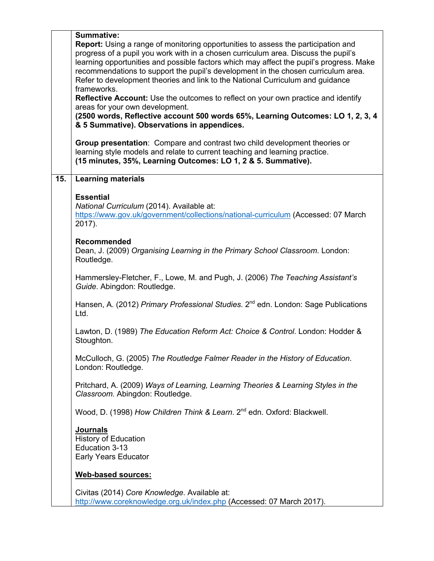|     | <b>Summative:</b>                                                                                                                                                                                                                                                                                                                                                                                                                                               |  |  |
|-----|-----------------------------------------------------------------------------------------------------------------------------------------------------------------------------------------------------------------------------------------------------------------------------------------------------------------------------------------------------------------------------------------------------------------------------------------------------------------|--|--|
|     | <b>Report:</b> Using a range of monitoring opportunities to assess the participation and<br>progress of a pupil you work with in a chosen curriculum area. Discuss the pupil's<br>learning opportunities and possible factors which may affect the pupil's progress. Make<br>recommendations to support the pupil's development in the chosen curriculum area.<br>Refer to development theories and link to the National Curriculum and guidance<br>frameworks. |  |  |
|     | Reflective Account: Use the outcomes to reflect on your own practice and identify<br>areas for your own development.                                                                                                                                                                                                                                                                                                                                            |  |  |
|     | (2500 words, Reflective account 500 words 65%, Learning Outcomes: LO 1, 2, 3, 4<br>& 5 Summative). Observations in appendices.                                                                                                                                                                                                                                                                                                                                  |  |  |
|     | Group presentation: Compare and contrast two child development theories or<br>learning style models and relate to current teaching and learning practice.<br>(15 minutes, 35%, Learning Outcomes: LO 1, 2 & 5. Summative).                                                                                                                                                                                                                                      |  |  |
| 15. | <b>Learning materials</b>                                                                                                                                                                                                                                                                                                                                                                                                                                       |  |  |
|     | <b>Essential</b><br>National Curriculum (2014). Available at:<br>https://www.gov.uk/government/collections/national-curriculum (Accessed: 07 March<br>2017).                                                                                                                                                                                                                                                                                                    |  |  |
|     | <b>Recommended</b><br>Dean, J. (2009) Organising Learning in the Primary School Classroom. London:<br>Routledge.                                                                                                                                                                                                                                                                                                                                                |  |  |
|     | Hammersley-Fletcher, F., Lowe, M. and Pugh, J. (2006) The Teaching Assistant's<br>Guide. Abingdon: Routledge.                                                                                                                                                                                                                                                                                                                                                   |  |  |
|     | Hansen, A. (2012) Primary Professional Studies. 2 <sup>nd</sup> edn. London: Sage Publications<br>Ltd.                                                                                                                                                                                                                                                                                                                                                          |  |  |
|     | Lawton, D. (1989) The Education Reform Act: Choice & Control. London: Hodder &<br>Stoughton.                                                                                                                                                                                                                                                                                                                                                                    |  |  |
|     | McCulloch, G. (2005) The Routledge Falmer Reader in the History of Education.<br>London: Routledge.                                                                                                                                                                                                                                                                                                                                                             |  |  |
|     | Pritchard, A. (2009) Ways of Learning, Learning Theories & Learning Styles in the<br>Classroom. Abingdon: Routledge.                                                                                                                                                                                                                                                                                                                                            |  |  |
|     | Wood, D. (1998) How Children Think & Learn. 2 <sup>nd</sup> edn. Oxford: Blackwell.                                                                                                                                                                                                                                                                                                                                                                             |  |  |
|     | <b>Journals</b><br><b>History of Education</b><br>Education 3-13<br><b>Early Years Educator</b>                                                                                                                                                                                                                                                                                                                                                                 |  |  |
|     | <b>Web-based sources:</b>                                                                                                                                                                                                                                                                                                                                                                                                                                       |  |  |
|     | Civitas (2014) Core Knowledge. Available at:<br>http://www.coreknowledge.org.uk/index.php (Accessed: 07 March 2017).                                                                                                                                                                                                                                                                                                                                            |  |  |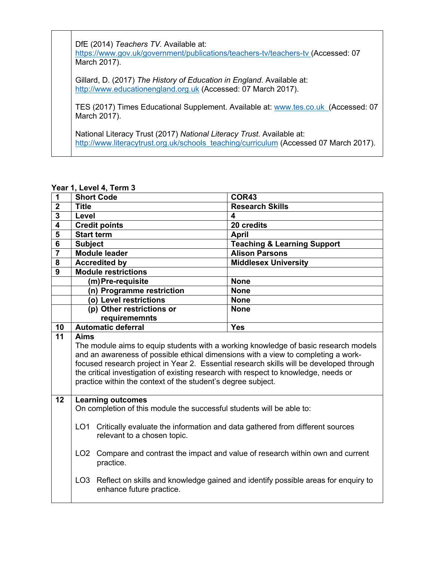DfE (2014) *Teachers TV.* Available at: https://www.gov.uk/government/publications/teachers-tv/teachers-tv (Accessed: 07 March 2017).

Gillard, D. (2017) *The History of Education in England*. Available at: http://www.educationengland.org.uk (Accessed: 07 March 2017).

TES (2017) Times Educational Supplement. Available at: www.tes.co.uk (Accessed: 07 March 2017).

National Literacy Trust (2017) *National Literacy Trust*. Available at: http://www.literacytrust.org.uk/schools\_teaching/curriculum (Accessed 07 March 2017).

| 1                       | <b>Short Code</b>                                                                                                                                                                                                                                                                                                                                                                                                                                                        | COR43                                  |  |
|-------------------------|--------------------------------------------------------------------------------------------------------------------------------------------------------------------------------------------------------------------------------------------------------------------------------------------------------------------------------------------------------------------------------------------------------------------------------------------------------------------------|----------------------------------------|--|
| $\overline{\mathbf{2}}$ | <b>Title</b>                                                                                                                                                                                                                                                                                                                                                                                                                                                             | <b>Research Skills</b>                 |  |
| $\overline{\mathbf{3}}$ | Level                                                                                                                                                                                                                                                                                                                                                                                                                                                                    | 4                                      |  |
| 4                       | <b>Credit points</b>                                                                                                                                                                                                                                                                                                                                                                                                                                                     | 20 credits                             |  |
| $\overline{\mathbf{5}}$ | <b>Start term</b>                                                                                                                                                                                                                                                                                                                                                                                                                                                        | <b>April</b>                           |  |
| $6\phantom{1}6$         | <b>Subject</b>                                                                                                                                                                                                                                                                                                                                                                                                                                                           | <b>Teaching &amp; Learning Support</b> |  |
| $\overline{7}$          | <b>Module leader</b>                                                                                                                                                                                                                                                                                                                                                                                                                                                     | <b>Alison Parsons</b>                  |  |
| 8                       | <b>Accredited by</b>                                                                                                                                                                                                                                                                                                                                                                                                                                                     | <b>Middlesex University</b>            |  |
| 9                       | <b>Module restrictions</b>                                                                                                                                                                                                                                                                                                                                                                                                                                               |                                        |  |
|                         | (m)Pre-requisite                                                                                                                                                                                                                                                                                                                                                                                                                                                         | <b>None</b>                            |  |
|                         | (n) Programme restriction                                                                                                                                                                                                                                                                                                                                                                                                                                                | <b>None</b>                            |  |
|                         | (o) Level restrictions                                                                                                                                                                                                                                                                                                                                                                                                                                                   | <b>None</b>                            |  |
|                         | (p) Other restrictions or                                                                                                                                                                                                                                                                                                                                                                                                                                                | <b>None</b>                            |  |
|                         | requirememnts                                                                                                                                                                                                                                                                                                                                                                                                                                                            |                                        |  |
| 10                      | <b>Automatic deferral</b>                                                                                                                                                                                                                                                                                                                                                                                                                                                | <b>Yes</b>                             |  |
| 11                      | <b>Aims</b><br>The module aims to equip students with a working knowledge of basic research models<br>and an awareness of possible ethical dimensions with a view to completing a work-<br>focused research project in Year 2. Essential research skills will be developed through<br>the critical investigation of existing research with respect to knowledge, needs or<br>practice within the context of the student's degree subject.                                |                                        |  |
| 12                      | <b>Learning outcomes</b><br>On completion of this module the successful students will be able to:<br>LO <sub>1</sub><br>Critically evaluate the information and data gathered from different sources<br>relevant to a chosen topic.<br>Compare and contrast the impact and value of research within own and current<br>LO <sub>2</sub><br>practice.<br>LO3 Reflect on skills and knowledge gained and identify possible areas for enquiry to<br>enhance future practice. |                                        |  |
|                         |                                                                                                                                                                                                                                                                                                                                                                                                                                                                          |                                        |  |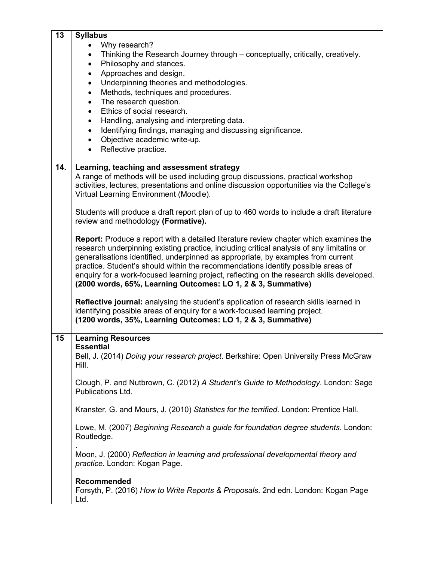| 13  | <b>Syllabus</b>                                                                              |  |  |  |
|-----|----------------------------------------------------------------------------------------------|--|--|--|
|     | Why research?                                                                                |  |  |  |
|     | Thinking the Research Journey through – conceptually, critically, creatively.<br>$\bullet$   |  |  |  |
|     | Philosophy and stances.<br>$\bullet$                                                         |  |  |  |
|     | Approaches and design.<br>$\bullet$                                                          |  |  |  |
|     | Underpinning theories and methodologies.<br>$\bullet$                                        |  |  |  |
|     | Methods, techniques and procedures.<br>$\bullet$                                             |  |  |  |
|     | The research question.<br>$\bullet$                                                          |  |  |  |
|     | Ethics of social research.<br>$\bullet$                                                      |  |  |  |
|     | Handling, analysing and interpreting data.<br>$\bullet$                                      |  |  |  |
|     | Identifying findings, managing and discussing significance.<br>$\bullet$                     |  |  |  |
|     | Objective academic write-up.<br>$\bullet$                                                    |  |  |  |
|     | Reflective practice.<br>$\bullet$                                                            |  |  |  |
|     |                                                                                              |  |  |  |
| 14. | Learning, teaching and assessment strategy                                                   |  |  |  |
|     | A range of methods will be used including group discussions, practical workshop              |  |  |  |
|     | activities, lectures, presentations and online discussion opportunities via the College's    |  |  |  |
|     | Virtual Learning Environment (Moodle).                                                       |  |  |  |
|     |                                                                                              |  |  |  |
|     | Students will produce a draft report plan of up to 460 words to include a draft literature   |  |  |  |
|     | review and methodology (Formative).                                                          |  |  |  |
|     |                                                                                              |  |  |  |
|     | <b>Report:</b> Produce a report with a detailed literature review chapter which examines the |  |  |  |
|     | research underpinning existing practice, including critical analysis of any limitatins or    |  |  |  |
|     | generalisations identified, underpinned as appropriate, by examples from current             |  |  |  |
|     | practice. Student's should within the recommendations identify possible areas of             |  |  |  |
|     | enquiry for a work-focused learning project, reflecting on the research skills developed.    |  |  |  |
|     | (2000 words, 65%, Learning Outcomes: LO 1, 2 & 3, Summative)                                 |  |  |  |
|     |                                                                                              |  |  |  |
|     | Reflective journal: analysing the student's application of research skills learned in        |  |  |  |
|     | identifying possible areas of enquiry for a work-focused learning project.                   |  |  |  |
|     | (1200 words, 35%, Learning Outcomes: LO 1, 2 & 3, Summative)                                 |  |  |  |
|     |                                                                                              |  |  |  |
| 15  | <b>Learning Resources</b>                                                                    |  |  |  |
|     | <b>Essential</b>                                                                             |  |  |  |
|     | Bell, J. (2014) Doing your research project. Berkshire: Open University Press McGraw         |  |  |  |
|     | Hill.                                                                                        |  |  |  |
|     | Clough, P. and Nutbrown, C. (2012) A Student's Guide to Methodology. London: Sage            |  |  |  |
|     | Publications Ltd.                                                                            |  |  |  |
|     |                                                                                              |  |  |  |
|     | Kranster, G. and Mours, J. (2010) Statistics for the terrified. London: Prentice Hall.       |  |  |  |
|     |                                                                                              |  |  |  |
|     | Lowe, M. (2007) Beginning Research a guide for foundation degree students. London:           |  |  |  |
|     | Routledge.                                                                                   |  |  |  |
|     |                                                                                              |  |  |  |
|     | Moon, J. (2000) Reflection in learning and professional developmental theory and             |  |  |  |
|     | practice. London: Kogan Page.                                                                |  |  |  |
|     |                                                                                              |  |  |  |
|     | Recommended                                                                                  |  |  |  |
|     | Forsyth, P. (2016) How to Write Reports & Proposals. 2nd edn. London: Kogan Page             |  |  |  |
|     | Ltd.                                                                                         |  |  |  |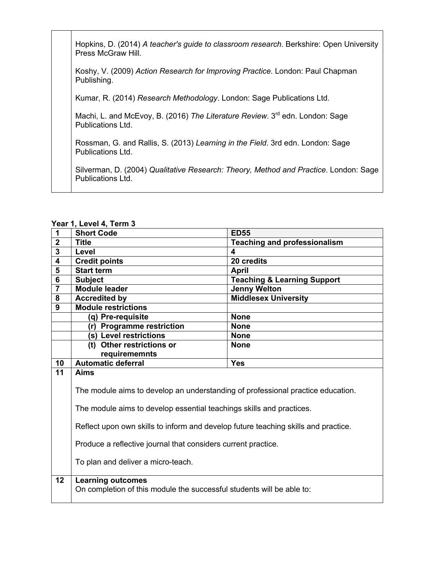Hopkins, D. (2014) *A teacher's guide to classroom research*. Berkshire: Open University Press McGraw Hill.

Koshy, V. (2009) *Action Research for Improving Practice*. London: Paul Chapman Publishing.

Kumar, R. (2014) *Research Methodology*. London: Sage Publications Ltd.

Machi, L. and McEvoy, B. (2016) *The Literature Review*. 3<sup>rd</sup> edn. London: Sage Publications Ltd.

Rossman, G. and Rallis, S. (2013) *Learning in the Field*. 3rd edn. London: Sage Publications Ltd.

Silverman, D. (2004) *Qualitative Research: Theory, Method and Practice*. London: Sage Publications Ltd.

|  |  | Year 1, Level 4, Term 3 |  |  |  |
|--|--|-------------------------|--|--|--|
|--|--|-------------------------|--|--|--|

| . vu.                   | 1, LVVVI 7, TVIIII V                                                                                                                                                                                                                                                                                                                                                |                                        |  |
|-------------------------|---------------------------------------------------------------------------------------------------------------------------------------------------------------------------------------------------------------------------------------------------------------------------------------------------------------------------------------------------------------------|----------------------------------------|--|
| $\mathbf 1$             | <b>Short Code</b>                                                                                                                                                                                                                                                                                                                                                   | <b>ED55</b>                            |  |
| $\overline{2}$          | <b>Title</b>                                                                                                                                                                                                                                                                                                                                                        | <b>Teaching and professionalism</b>    |  |
| $\overline{\mathbf{3}}$ | Level                                                                                                                                                                                                                                                                                                                                                               | 4                                      |  |
| 4                       | <b>Credit points</b>                                                                                                                                                                                                                                                                                                                                                | 20 credits                             |  |
| 5                       | <b>Start term</b>                                                                                                                                                                                                                                                                                                                                                   | <b>April</b>                           |  |
| $6\phantom{1}$          | <b>Subject</b>                                                                                                                                                                                                                                                                                                                                                      | <b>Teaching &amp; Learning Support</b> |  |
| $\overline{\mathbf{7}}$ | <b>Module leader</b>                                                                                                                                                                                                                                                                                                                                                | <b>Jenny Welton</b>                    |  |
| 8                       | <b>Accredited by</b>                                                                                                                                                                                                                                                                                                                                                | <b>Middlesex University</b>            |  |
| 9                       | <b>Module restrictions</b>                                                                                                                                                                                                                                                                                                                                          |                                        |  |
|                         | (q) Pre-requisite                                                                                                                                                                                                                                                                                                                                                   | <b>None</b>                            |  |
|                         | (r) Programme restriction                                                                                                                                                                                                                                                                                                                                           | <b>None</b>                            |  |
|                         | (s) Level restrictions                                                                                                                                                                                                                                                                                                                                              | <b>None</b>                            |  |
|                         | (t) Other restrictions or                                                                                                                                                                                                                                                                                                                                           | <b>None</b>                            |  |
|                         | requirememnts                                                                                                                                                                                                                                                                                                                                                       |                                        |  |
| 10                      | <b>Automatic deferral</b>                                                                                                                                                                                                                                                                                                                                           | <b>Yes</b>                             |  |
| 11                      | <b>Aims</b><br>The module aims to develop an understanding of professional practice education.<br>The module aims to develop essential teachings skills and practices.<br>Reflect upon own skills to inform and develop future teaching skills and practice.<br>Produce a reflective journal that considers current practice.<br>To plan and deliver a micro-teach. |                                        |  |
| 12                      | <b>Learning outcomes</b><br>On completion of this module the successful students will be able to:                                                                                                                                                                                                                                                                   |                                        |  |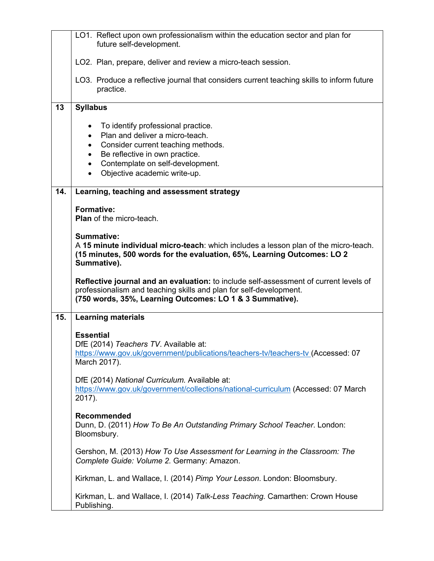|     | LO1. Reflect upon own professionalism within the education sector and plan for<br>future self-development.                                                                                                                                                                                      |  |  |
|-----|-------------------------------------------------------------------------------------------------------------------------------------------------------------------------------------------------------------------------------------------------------------------------------------------------|--|--|
|     | LO2. Plan, prepare, deliver and review a micro-teach session.                                                                                                                                                                                                                                   |  |  |
|     | LO3. Produce a reflective journal that considers current teaching skills to inform future<br>practice.                                                                                                                                                                                          |  |  |
| 13  | <b>Syllabus</b>                                                                                                                                                                                                                                                                                 |  |  |
|     | To identify professional practice.<br>$\bullet$<br>Plan and deliver a micro-teach.<br>$\bullet$<br>Consider current teaching methods.<br>$\bullet$<br>Be reflective in own practice.<br>$\bullet$<br>Contemplate on self-development.<br>$\bullet$<br>Objective academic write-up.<br>$\bullet$ |  |  |
| 14. | Learning, teaching and assessment strategy                                                                                                                                                                                                                                                      |  |  |
|     | <b>Formative:</b><br><b>Plan</b> of the micro-teach.                                                                                                                                                                                                                                            |  |  |
|     | Summative:<br>A 15 minute individual micro-teach: which includes a lesson plan of the micro-teach.<br>(15 minutes, 500 words for the evaluation, 65%, Learning Outcomes: LO 2<br>Summative).                                                                                                    |  |  |
|     | Reflective journal and an evaluation: to include self-assessment of current levels of<br>professionalism and teaching skills and plan for self-development.<br>(750 words, 35%, Learning Outcomes: LO 1 & 3 Summative).                                                                         |  |  |
| 15. | <b>Learning materials</b>                                                                                                                                                                                                                                                                       |  |  |
|     | <b>Essential</b><br>DfE (2014) Teachers TV. Available at:<br>https://www.gov.uk/government/publications/teachers-tv/teachers-tv (Accessed: 07<br>March 2017).                                                                                                                                   |  |  |
|     | DfE (2014) National Curriculum. Available at:<br>https://www.gov.uk/government/collections/national-curriculum (Accessed: 07 March                                                                                                                                                              |  |  |
|     | 2017).                                                                                                                                                                                                                                                                                          |  |  |
|     | Recommended<br>Dunn, D. (2011) How To Be An Outstanding Primary School Teacher. London:<br>Bloomsbury.                                                                                                                                                                                          |  |  |
|     | Gershon, M. (2013) How To Use Assessment for Learning in the Classroom: The<br>Complete Guide: Volume 2. Germany: Amazon.                                                                                                                                                                       |  |  |
|     | Kirkman, L. and Wallace, I. (2014) Pimp Your Lesson. London: Bloomsbury.                                                                                                                                                                                                                        |  |  |
|     | Kirkman, L. and Wallace, I. (2014) Talk-Less Teaching. Camarthen: Crown House<br>Publishing.                                                                                                                                                                                                    |  |  |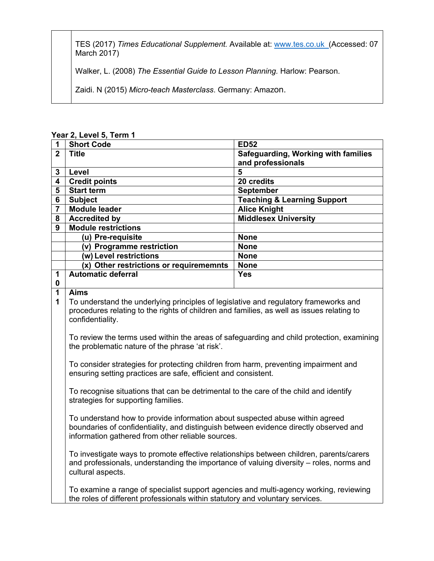TES (2017) *Times Educational Supplement.* Available at: www.tes.co.uk (Accessed: 07 March 2017)

Walker, L. (2008) *The Essential Guide to Lesson Planning.* Harlow: Pearson.

Zaidi. N (2015) *Micro-teach Masterclass*. Germany: Amazon.

**Year 2, Level 5, Term 1**

| 1              |                                                                                                                                                                       |                                        |
|----------------|-----------------------------------------------------------------------------------------------------------------------------------------------------------------------|----------------------------------------|
|                | <b>Short Code</b>                                                                                                                                                     | <b>ED52</b>                            |
| $\overline{2}$ | <b>Title</b>                                                                                                                                                          | Safeguarding, Working with families    |
|                |                                                                                                                                                                       | and professionals                      |
| 3              | Level                                                                                                                                                                 | 5                                      |
| 4              | <b>Credit points</b>                                                                                                                                                  | 20 credits                             |
| 5              | <b>Start term</b>                                                                                                                                                     | <b>September</b>                       |
| 6              | <b>Subject</b>                                                                                                                                                        | <b>Teaching &amp; Learning Support</b> |
| $\overline{7}$ | <b>Module leader</b>                                                                                                                                                  | <b>Alice Knight</b>                    |
| 8              | <b>Accredited by</b>                                                                                                                                                  | <b>Middlesex University</b>            |
| 9              | <b>Module restrictions</b>                                                                                                                                            |                                        |
|                | (u) Pre-requisite                                                                                                                                                     | <b>None</b>                            |
|                | (v) Programme restriction                                                                                                                                             | <b>None</b>                            |
|                | (w) Level restrictions                                                                                                                                                | <b>None</b>                            |
|                | (x) Other restrictions or requirememnts                                                                                                                               | <b>None</b>                            |
| 1              | <b>Automatic deferral</b>                                                                                                                                             | <b>Yes</b>                             |
| $\bf{0}$       |                                                                                                                                                                       |                                        |
| $\mathbf 1$    | <b>Aims</b>                                                                                                                                                           |                                        |
| 1              |                                                                                                                                                                       |                                        |
|                | To understand the underlying principles of legislative and regulatory frameworks and                                                                                  |                                        |
|                | procedures relating to the rights of children and families, as well as issues relating to                                                                             |                                        |
|                | confidentiality.                                                                                                                                                      |                                        |
|                |                                                                                                                                                                       |                                        |
|                | To review the terms used within the areas of safeguarding and child protection, examining                                                                             |                                        |
|                | the problematic nature of the phrase 'at risk'.                                                                                                                       |                                        |
|                |                                                                                                                                                                       |                                        |
|                | To consider strategies for protecting children from harm, preventing impairment and                                                                                   |                                        |
|                | ensuring setting practices are safe, efficient and consistent.                                                                                                        |                                        |
|                |                                                                                                                                                                       |                                        |
|                | To recognise situations that can be detrimental to the care of the child and identify                                                                                 |                                        |
|                | strategies for supporting families.                                                                                                                                   |                                        |
|                |                                                                                                                                                                       |                                        |
|                | To understand how to provide information about suspected abuse within agreed<br>boundaries of confidentiality, and distinguish between evidence directly observed and |                                        |
|                | information gathered from other reliable sources.                                                                                                                     |                                        |
|                |                                                                                                                                                                       |                                        |

To investigate ways to promote effective relationships between children, parents/carers and professionals, understanding the importance of valuing diversity – roles, norms and cultural aspects.

To examine a range of specialist support agencies and multi-agency working, reviewing the roles of different professionals within statutory and voluntary services.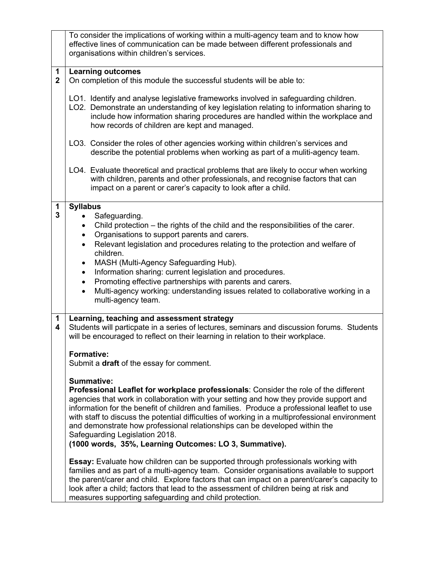|                             | To consider the implications of working within a multi-agency team and to know how<br>effective lines of communication can be made between different professionals and<br>organisations within children's services.                                                                                                                                                                                                                                                                |  |  |
|-----------------------------|------------------------------------------------------------------------------------------------------------------------------------------------------------------------------------------------------------------------------------------------------------------------------------------------------------------------------------------------------------------------------------------------------------------------------------------------------------------------------------|--|--|
| $\mathbf 1$<br>$\mathbf{2}$ | <b>Learning outcomes</b><br>On completion of this module the successful students will be able to:                                                                                                                                                                                                                                                                                                                                                                                  |  |  |
|                             | LO1. Identify and analyse legislative frameworks involved in safeguarding children.<br>LO2. Demonstrate an understanding of key legislation relating to information sharing to<br>include how information sharing procedures are handled within the workplace and<br>how records of children are kept and managed.                                                                                                                                                                 |  |  |
|                             | LO3. Consider the roles of other agencies working within children's services and<br>describe the potential problems when working as part of a muliti-agency team.                                                                                                                                                                                                                                                                                                                  |  |  |
|                             | LO4. Evaluate theoretical and practical problems that are likely to occur when working<br>with children, parents and other professionals, and recognise factors that can<br>impact on a parent or carer's capacity to look after a child.                                                                                                                                                                                                                                          |  |  |
| 1                           | <b>Syllabus</b>                                                                                                                                                                                                                                                                                                                                                                                                                                                                    |  |  |
| 3                           | Safeguarding.<br>$\bullet$                                                                                                                                                                                                                                                                                                                                                                                                                                                         |  |  |
|                             | Child protection – the rights of the child and the responsibilities of the carer.<br>$\bullet$                                                                                                                                                                                                                                                                                                                                                                                     |  |  |
|                             | Organisations to support parents and carers.<br>$\bullet$                                                                                                                                                                                                                                                                                                                                                                                                                          |  |  |
|                             | Relevant legislation and procedures relating to the protection and welfare of<br>$\bullet$                                                                                                                                                                                                                                                                                                                                                                                         |  |  |
|                             | children.                                                                                                                                                                                                                                                                                                                                                                                                                                                                          |  |  |
|                             | MASH (Multi-Agency Safeguarding Hub).<br>$\bullet$                                                                                                                                                                                                                                                                                                                                                                                                                                 |  |  |
|                             | Information sharing: current legislation and procedures.<br>$\bullet$                                                                                                                                                                                                                                                                                                                                                                                                              |  |  |
|                             | Promoting effective partnerships with parents and carers.<br>$\bullet$                                                                                                                                                                                                                                                                                                                                                                                                             |  |  |
|                             | Multi-agency working: understanding issues related to collaborative working in a<br>$\bullet$<br>multi-agency team.                                                                                                                                                                                                                                                                                                                                                                |  |  |
| $\mathbf 1$<br>4            | Learning, teaching and assessment strategy<br>Students will particpate in a series of lectures, seminars and discussion forums. Students<br>will be encouraged to reflect on their learning in relation to their workplace.                                                                                                                                                                                                                                                        |  |  |
|                             | <b>Formative:</b><br>Submit a <b>draft</b> of the essay for comment.                                                                                                                                                                                                                                                                                                                                                                                                               |  |  |
|                             |                                                                                                                                                                                                                                                                                                                                                                                                                                                                                    |  |  |
|                             | <b>Summative:</b><br>Professional Leaflet for workplace professionals: Consider the role of the different<br>agencies that work in collaboration with your setting and how they provide support and<br>information for the benefit of children and families. Produce a professional leaflet to use<br>with staff to discuss the potential difficulties of working in a multiprofessional environment<br>and demonstrate how professional relationships can be developed within the |  |  |
|                             | Safeguarding Legislation 2018.<br>(1000 words, 35%, Learning Outcomes: LO 3, Summative).                                                                                                                                                                                                                                                                                                                                                                                           |  |  |
|                             | <b>Essay:</b> Evaluate how children can be supported through professionals working with<br>families and as part of a multi-agency team. Consider organisations available to support<br>the parent/carer and child. Explore factors that can impact on a parent/carer's capacity to<br>look after a child; factors that lead to the assessment of children being at risk and<br>measures supporting safeguarding and child protection.                                              |  |  |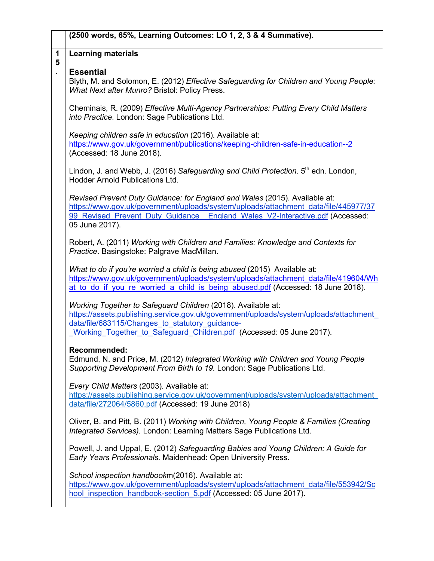|        | (2500 words, 65%, Learning Outcomes: LO 1, 2, 3 & 4 Summative).                                                                                                                                                                                                                  |  |  |
|--------|----------------------------------------------------------------------------------------------------------------------------------------------------------------------------------------------------------------------------------------------------------------------------------|--|--|
| 1<br>5 | <b>Learning materials</b>                                                                                                                                                                                                                                                        |  |  |
|        | <b>Essential</b><br>Blyth, M. and Solomon, E. (2012) Effective Safeguarding for Children and Young People:<br>What Next after Munro? Bristol: Policy Press.                                                                                                                      |  |  |
|        | Cheminais, R. (2009) Effective Multi-Agency Partnerships: Putting Every Child Matters<br>into Practice. London: Sage Publications Ltd.                                                                                                                                           |  |  |
|        | Keeping children safe in education (2016). Available at:<br>https://www.gov.uk/government/publications/keeping-children-safe-in-education--2<br>(Accessed: 18 June 2018).                                                                                                        |  |  |
|        | Lindon, J. and Webb, J. (2016) Safeguarding and Child Protection. 5 <sup>th</sup> edn. London,<br><b>Hodder Arnold Publications Ltd.</b>                                                                                                                                         |  |  |
|        | Revised Prevent Duty Guidance: for England and Wales (2015). Available at:<br>https://www.gov.uk/government/uploads/system/uploads/attachment_data/file/445977/37<br>99 Revised Prevent Duty Guidance England Wales V2-Interactive.pdf (Accessed:<br>05 June 2017).              |  |  |
|        | Robert, A. (2011) Working with Children and Families: Knowledge and Contexts for<br>Practice. Basingstoke: Palgrave MacMillan.                                                                                                                                                   |  |  |
|        | What to do if you're worried a child is being abused (2015) Available at:<br>https://www.gov.uk/government/uploads/system/uploads/attachment_data/file/419604/Wh<br>at to do if you re worried a child is being abused.pdf (Accessed: 18 June 2018).                             |  |  |
|        | Working Together to Safeguard Children (2018). Available at:<br>https://assets.publishing.service.gov.uk/government/uploads/system/uploads/attachment<br>data/file/683115/Changes to statutory guidance-<br>Working Together to Safeguard Children.pdf (Accessed: 05 June 2017). |  |  |
|        | <b>Recommended:</b><br>Edmund, N. and Price, M. (2012) Integrated Working with Children and Young People<br>Supporting Development From Birth to 19. London: Sage Publications Ltd.                                                                                              |  |  |
|        | Every Child Matters (2003). Available at:<br>https://assets.publishing.service.gov.uk/government/uploads/system/uploads/attachment<br>data/file/272064/5860.pdf (Accessed: 19 June 2018)                                                                                         |  |  |
|        | Oliver, B. and Pitt, B. (2011) Working with Children, Young People & Families (Creating<br>Integrated Services). London: Learning Matters Sage Publications Ltd.                                                                                                                 |  |  |
|        | Powell, J. and Uppal, E. (2012) Safeguarding Babies and Young Children: A Guide for<br>Early Years Professionals. Maidenhead: Open University Press.                                                                                                                             |  |  |
|        | School inspection handbookm(2016). Available at:<br>https://www.gov.uk/government/uploads/system/uploads/attachment_data/file/553942/Sc<br>hool inspection handbook-section 5.pdf (Accessed: 05 June 2017).                                                                      |  |  |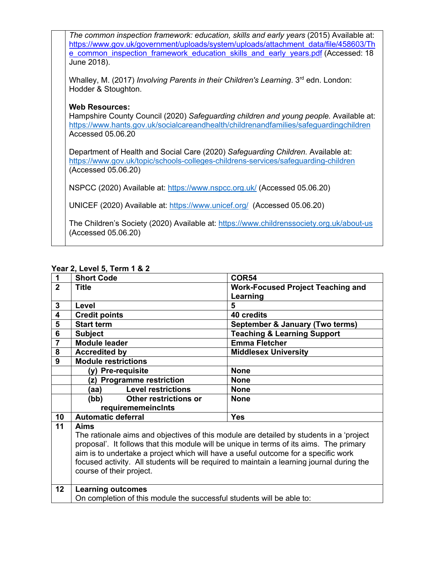| The common inspection framework: education, skills and early years (2015) Available at:<br>https://www.gov.uk/government/uploads/system/uploads/attachment_data/file/458603/Th<br>e common inspection framework education skills and early years.pdf (Accessed: 18<br>June 2018). |
|-----------------------------------------------------------------------------------------------------------------------------------------------------------------------------------------------------------------------------------------------------------------------------------|
| Whalley, M. (2017) <i>Involving Parents in their Children's Learning</i> . 3 <sup>rd</sup> edn. London:<br>Hodder & Stoughton.                                                                                                                                                    |
| <b>Web Resources:</b><br>Hampshire County Council (2020) Safeguarding children and young people. Available at:<br>https://www.hants.gov.uk/socialcareandhealth/childrenandfamilies/safeguardingchildren<br>Accessed 05.06.20                                                      |
| Department of Health and Social Care (2020) Safeguarding Children. Available at:<br>https://www.gov.uk/topic/schools-colleges-childrens-services/safeguarding-children<br>(Accessed 05.06.20)                                                                                     |
| NSPCC (2020) Available at: https://www.nspcc.org.uk/ (Accessed 05.06.20)                                                                                                                                                                                                          |
| UNICEF (2020) Available at: https://www.unicef.org/ (Accessed 05.06.20)                                                                                                                                                                                                           |
| The Children's Society (2020) Available at: https://www.childrenssociety.org.uk/about-us<br>(Accessed 05.06.20)                                                                                                                                                                   |
|                                                                                                                                                                                                                                                                                   |

### **Year 2, Level 5, Term 1 & 2**

| 1              | <b>Short Code</b>                                                                                                                                                                                                                                                                                                                                                                                         | <b>COR54</b>                             |
|----------------|-----------------------------------------------------------------------------------------------------------------------------------------------------------------------------------------------------------------------------------------------------------------------------------------------------------------------------------------------------------------------------------------------------------|------------------------------------------|
| $\overline{2}$ | <b>Title</b>                                                                                                                                                                                                                                                                                                                                                                                              | <b>Work-Focused Project Teaching and</b> |
|                |                                                                                                                                                                                                                                                                                                                                                                                                           | Learning                                 |
| 3              | Level                                                                                                                                                                                                                                                                                                                                                                                                     | 5                                        |
| 4              | <b>Credit points</b>                                                                                                                                                                                                                                                                                                                                                                                      | 40 credits                               |
| 5              | <b>Start term</b>                                                                                                                                                                                                                                                                                                                                                                                         | September & January (Two terms)          |
| 6              | <b>Subject</b>                                                                                                                                                                                                                                                                                                                                                                                            | <b>Teaching &amp; Learning Support</b>   |
| $\overline{7}$ | <b>Module leader</b>                                                                                                                                                                                                                                                                                                                                                                                      | <b>Emma Fletcher</b>                     |
| 8              | <b>Accredited by</b>                                                                                                                                                                                                                                                                                                                                                                                      | <b>Middlesex University</b>              |
| 9              | <b>Module restrictions</b>                                                                                                                                                                                                                                                                                                                                                                                |                                          |
|                | (y) Pre-requisite                                                                                                                                                                                                                                                                                                                                                                                         | <b>None</b>                              |
|                | (z) Programme restriction                                                                                                                                                                                                                                                                                                                                                                                 | <b>None</b>                              |
|                | <b>Level restrictions</b><br>(aa)                                                                                                                                                                                                                                                                                                                                                                         | <b>None</b>                              |
|                | Other restrictions or<br>(bb)                                                                                                                                                                                                                                                                                                                                                                             | <b>None</b>                              |
|                | requirememeinclnts                                                                                                                                                                                                                                                                                                                                                                                        |                                          |
| 10             | <b>Automatic deferral</b>                                                                                                                                                                                                                                                                                                                                                                                 | <b>Yes</b>                               |
| 11             | Aims<br>The rationale aims and objectives of this module are detailed by students in a 'project<br>proposal'. It follows that this module will be unique in terms of its aims. The primary<br>aim is to undertake a project which will have a useful outcome for a specific work<br>focused activity. All students will be required to maintain a learning journal during the<br>course of their project. |                                          |
| 12             | <b>Learning outcomes</b><br>On completion of this module the successful students will be able to:                                                                                                                                                                                                                                                                                                         |                                          |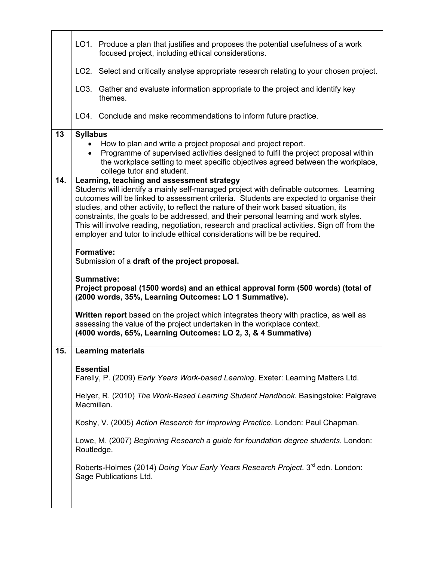|     | LO1. Produce a plan that justifies and proposes the potential usefulness of a work<br>focused project, including ethical considerations.                         |  |  |
|-----|------------------------------------------------------------------------------------------------------------------------------------------------------------------|--|--|
|     | LO2. Select and critically analyse appropriate research relating to your chosen project.                                                                         |  |  |
|     | LO3. Gather and evaluate information appropriate to the project and identify key<br>themes.                                                                      |  |  |
|     | LO4. Conclude and make recommendations to inform future practice.                                                                                                |  |  |
|     |                                                                                                                                                                  |  |  |
| 13  | <b>Syllabus</b>                                                                                                                                                  |  |  |
|     | How to plan and write a project proposal and project report.                                                                                                     |  |  |
|     | Programme of supervised activities designed to fulfil the project proposal within                                                                                |  |  |
|     | the workplace setting to meet specific objectives agreed between the workplace,<br>college tutor and student.                                                    |  |  |
| 14. | Learning, teaching and assessment strategy                                                                                                                       |  |  |
|     | Students will identify a mainly self-managed project with definable outcomes. Learning                                                                           |  |  |
|     | outcomes will be linked to assessment criteria. Students are expected to organise their                                                                          |  |  |
|     |                                                                                                                                                                  |  |  |
|     | studies, and other activity, to reflect the nature of their work based situation, its                                                                            |  |  |
|     | constraints, the goals to be addressed, and their personal learning and work styles.                                                                             |  |  |
|     | This will involve reading, negotiation, research and practical activities. Sign off from the                                                                     |  |  |
|     | employer and tutor to include ethical considerations will be be required.                                                                                        |  |  |
|     | <b>Formative:</b>                                                                                                                                                |  |  |
|     | Submission of a draft of the project proposal.                                                                                                                   |  |  |
|     |                                                                                                                                                                  |  |  |
|     | Summative:                                                                                                                                                       |  |  |
|     |                                                                                                                                                                  |  |  |
|     | Project proposal (1500 words) and an ethical approval form (500 words) (total of                                                                                 |  |  |
|     | (2000 words, 35%, Learning Outcomes: LO 1 Summative).                                                                                                            |  |  |
|     | Written report based on the project which integrates theory with practice, as well as<br>assessing the value of the project undertaken in the workplace context. |  |  |
|     | (4000 words, 65%, Learning Outcomes: LO 2, 3, & 4 Summative)                                                                                                     |  |  |
| 15. | <b>Learning materials</b>                                                                                                                                        |  |  |
|     |                                                                                                                                                                  |  |  |
|     | <b>Essential</b>                                                                                                                                                 |  |  |
|     | Farelly, P. (2009) Early Years Work-based Learning. Exeter: Learning Matters Ltd.                                                                                |  |  |
|     | Helyer, R. (2010) The Work-Based Learning Student Handbook. Basingstoke: Palgrave                                                                                |  |  |
|     | Macmillan.                                                                                                                                                       |  |  |
|     | Koshy, V. (2005) Action Research for Improving Practice. London: Paul Chapman.                                                                                   |  |  |
|     |                                                                                                                                                                  |  |  |
|     | Lowe, M. (2007) Beginning Research a guide for foundation degree students. London:<br>Routledge.                                                                 |  |  |
|     | Roberts-Holmes (2014) Doing Your Early Years Research Project. 3 <sup>rd</sup> edn. London:<br>Sage Publications Ltd.                                            |  |  |
|     |                                                                                                                                                                  |  |  |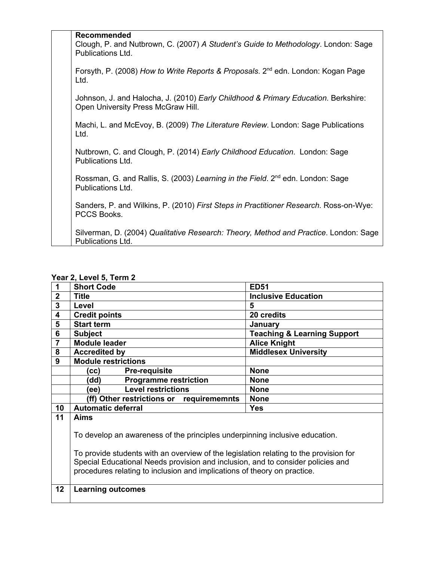| <b>Recommended</b><br>Clough, P. and Nutbrown, C. (2007) A Student's Guide to Methodology. London: Sage<br>Publications Ltd. |
|------------------------------------------------------------------------------------------------------------------------------|
| Forsyth, P. (2008) How to Write Reports & Proposals. 2 <sup>nd</sup> edn. London: Kogan Page<br>Ltd.                         |
| Johnson, J. and Halocha, J. (2010) Early Childhood & Primary Education. Berkshire:<br>Open University Press McGraw Hill.     |
| Machi, L. and McEvoy, B. (2009) The Literature Review. London: Sage Publications<br>Ltd.                                     |
| Nutbrown, C. and Clough, P. (2014) Early Childhood Education. London: Sage<br>Publications Ltd.                              |
| Rossman, G. and Rallis, S. (2003) Learning in the Field. 2 <sup>nd</sup> edn. London: Sage<br>Publications Ltd.              |
| Sanders, P. and Wilkins, P. (2010) First Steps in Practitioner Research. Ross-on-Wye:<br>PCCS Books.                         |
| Silverman, D. (2004) Qualitative Research: Theory, Method and Practice. London: Sage<br>Publications Ltd.                    |

| $1$ cal $\angle$ , Level J, Terni $\angle$ |                                                                                                                                                                                                                                                                                                                                     |                                        |  |
|--------------------------------------------|-------------------------------------------------------------------------------------------------------------------------------------------------------------------------------------------------------------------------------------------------------------------------------------------------------------------------------------|----------------------------------------|--|
|                                            | <b>Short Code</b>                                                                                                                                                                                                                                                                                                                   | <b>ED51</b>                            |  |
| $\overline{2}$                             | <b>Title</b>                                                                                                                                                                                                                                                                                                                        | <b>Inclusive Education</b>             |  |
| 3                                          | Level                                                                                                                                                                                                                                                                                                                               | 5                                      |  |
| 4                                          | <b>Credit points</b>                                                                                                                                                                                                                                                                                                                | 20 credits                             |  |
| 5                                          | <b>Start term</b>                                                                                                                                                                                                                                                                                                                   | <b>January</b>                         |  |
| 6                                          | <b>Subject</b>                                                                                                                                                                                                                                                                                                                      | <b>Teaching &amp; Learning Support</b> |  |
| $\overline{7}$                             | <b>Module leader</b>                                                                                                                                                                                                                                                                                                                | <b>Alice Knight</b>                    |  |
| 8                                          | <b>Accredited by</b>                                                                                                                                                                                                                                                                                                                | <b>Middlesex University</b>            |  |
| 9                                          | <b>Module restrictions</b>                                                                                                                                                                                                                                                                                                          |                                        |  |
|                                            | <b>Pre-requisite</b><br>(cc)                                                                                                                                                                                                                                                                                                        | <b>None</b>                            |  |
|                                            | <b>Programme restriction</b><br>'dd)                                                                                                                                                                                                                                                                                                | <b>None</b>                            |  |
|                                            | <b>Level restrictions</b><br>(ee)                                                                                                                                                                                                                                                                                                   | <b>None</b>                            |  |
|                                            | (ff) Other restrictions or requirememnts                                                                                                                                                                                                                                                                                            | <b>None</b>                            |  |
| 10                                         | <b>Automatic deferral</b>                                                                                                                                                                                                                                                                                                           | <b>Yes</b>                             |  |
| 11                                         | Aims                                                                                                                                                                                                                                                                                                                                |                                        |  |
|                                            | To develop an awareness of the principles underpinning inclusive education.<br>To provide students with an overview of the legislation relating to the provision for<br>Special Educational Needs provision and inclusion, and to consider policies and<br>procedures relating to inclusion and implications of theory on practice. |                                        |  |
| 12                                         | <b>Learning outcomes</b>                                                                                                                                                                                                                                                                                                            |                                        |  |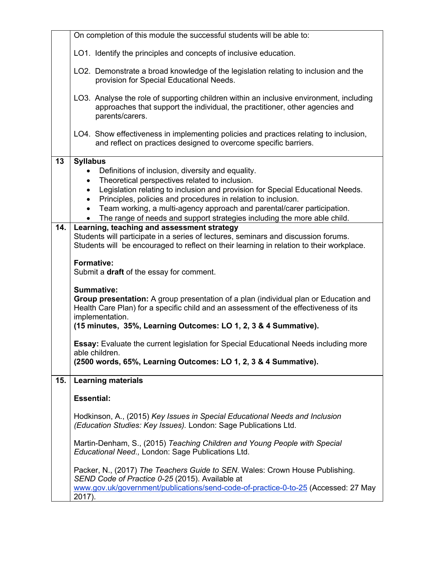|     | On completion of this module the successful students will be able to:                                                                                                                                                                                                                                                                                                                                                                                           |  |  |
|-----|-----------------------------------------------------------------------------------------------------------------------------------------------------------------------------------------------------------------------------------------------------------------------------------------------------------------------------------------------------------------------------------------------------------------------------------------------------------------|--|--|
|     | LO1. Identify the principles and concepts of inclusive education.                                                                                                                                                                                                                                                                                                                                                                                               |  |  |
|     | LO2. Demonstrate a broad knowledge of the legislation relating to inclusion and the<br>provision for Special Educational Needs.                                                                                                                                                                                                                                                                                                                                 |  |  |
|     | LO3. Analyse the role of supporting children within an inclusive environment, including<br>approaches that support the individual, the practitioner, other agencies and<br>parents/carers.                                                                                                                                                                                                                                                                      |  |  |
|     | LO4. Show effectiveness in implementing policies and practices relating to inclusion,<br>and reflect on practices designed to overcome specific barriers.                                                                                                                                                                                                                                                                                                       |  |  |
| 13  | <b>Syllabus</b><br>Definitions of inclusion, diversity and equality.<br>Theoretical perspectives related to inclusion.<br>Legislation relating to inclusion and provision for Special Educational Needs.<br>Principles, policies and procedures in relation to inclusion.<br>٠<br>Team working, a multi-agency approach and parental/carer participation.<br>$\bullet$<br>The range of needs and support strategies including the more able child.<br>$\bullet$ |  |  |
| 14. | Learning, teaching and assessment strategy<br>Students will participate in a series of lectures, seminars and discussion forums.<br>Students will be encouraged to reflect on their learning in relation to their workplace.                                                                                                                                                                                                                                    |  |  |
|     | <b>Formative:</b><br>Submit a draft of the essay for comment.                                                                                                                                                                                                                                                                                                                                                                                                   |  |  |
|     | <b>Summative:</b><br>Group presentation: A group presentation of a plan (individual plan or Education and<br>Health Care Plan) for a specific child and an assessment of the effectiveness of its<br>implementation.<br>(15 minutes, 35%, Learning Outcomes: LO 1, 2, 3 & 4 Summative).                                                                                                                                                                         |  |  |
|     | <b>Essay:</b> Evaluate the current legislation for Special Educational Needs including more<br>able children.<br>(2500 words, 65%, Learning Outcomes: LO 1, 2, 3 & 4 Summative).                                                                                                                                                                                                                                                                                |  |  |
| 15. | <b>Learning materials</b>                                                                                                                                                                                                                                                                                                                                                                                                                                       |  |  |
|     | <b>Essential:</b>                                                                                                                                                                                                                                                                                                                                                                                                                                               |  |  |
|     | Hodkinson, A., (2015) Key Issues in Special Educational Needs and Inclusion<br>(Education Studies: Key Issues). London: Sage Publications Ltd.                                                                                                                                                                                                                                                                                                                  |  |  |
|     | Martin-Denham, S., (2015) Teaching Children and Young People with Special<br>Educational Need., London: Sage Publications Ltd.                                                                                                                                                                                                                                                                                                                                  |  |  |
|     | Packer, N., (2017) The Teachers Guide to SEN. Wales: Crown House Publishing.<br>SEND Code of Practice 0-25 (2015). Available at<br>www.gov.uk/government/publications/send-code-of-practice-0-to-25 (Accessed: 27 May<br>2017).                                                                                                                                                                                                                                 |  |  |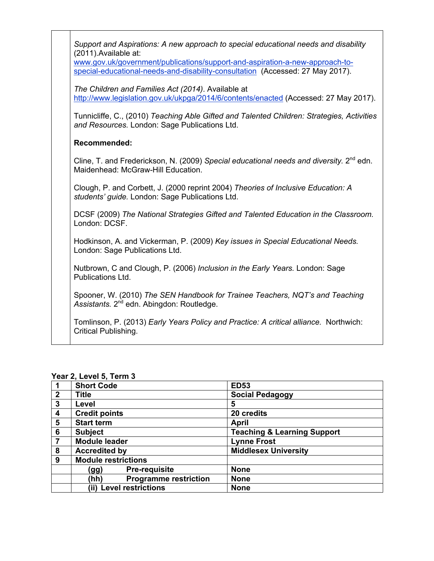| Support and Aspirations: A new approach to special educational needs and disability<br>(2011). Available at:                                                   |
|----------------------------------------------------------------------------------------------------------------------------------------------------------------|
| www.gov.uk/government/publications/support-and-aspiration-a-new-approach-to-<br>special-educational-needs-and-disability-consultation (Accessed: 27 May 2017). |
| The Children and Families Act (2014). Available at<br>http://www.legislation.gov.uk/ukpga/2014/6/contents/enacted (Accessed: 27 May 2017).                     |
| Tunnicliffe, C., (2010) Teaching Able Gifted and Talented Children: Strategies, Activities<br>and Resources. London: Sage Publications Ltd.                    |
| <b>Recommended:</b>                                                                                                                                            |
| Cline, T. and Frederickson, N. (2009) Special educational needs and diversity. $2^{nd}$ edn.<br>Maidenhead: McGraw-Hill Education.                             |
| Clough, P. and Corbett, J. (2000 reprint 2004) Theories of Inclusive Education: A<br>students' guide. London: Sage Publications Ltd.                           |
| DCSF (2009) The National Strategies Gifted and Talented Education in the Classroom.<br>London: DCSF.                                                           |
| Hodkinson, A. and Vickerman, P. (2009) Key issues in Special Educational Needs.<br>London: Sage Publications Ltd.                                              |
| Nutbrown, C and Clough, P. (2006) Inclusion in the Early Years. London: Sage<br>Publications Ltd.                                                              |
| Spooner, W. (2010) The SEN Handbook for Trainee Teachers, NQT's and Teaching<br>Assistants. 2 <sup>nd</sup> edn. Abingdon: Routledge.                          |
| Tomlinson, P. (2013) Early Years Policy and Practice: A critical alliance. Northwich:<br>Critical Publishing.                                                  |

|   | <b>Short Code</b>                    | <b>ED53</b>                            |
|---|--------------------------------------|----------------------------------------|
| 2 | Title                                | <b>Social Pedagogy</b>                 |
| 3 | Level                                | 5                                      |
| 4 | <b>Credit points</b>                 | 20 credits                             |
| 5 | <b>Start term</b>                    | <b>April</b>                           |
| 6 | <b>Subject</b>                       | <b>Teaching &amp; Learning Support</b> |
|   | <b>Module leader</b>                 | <b>Lynne Frost</b>                     |
| 8 | <b>Accredited by</b>                 | <b>Middlesex University</b>            |
| 9 | <b>Module restrictions</b>           |                                        |
|   | <b>Pre-requisite</b><br>(gg)         | <b>None</b>                            |
|   | <b>Programme restriction</b><br>(hh) | <b>None</b>                            |
|   | <b>Level restrictions</b><br>(ii)    | <b>None</b>                            |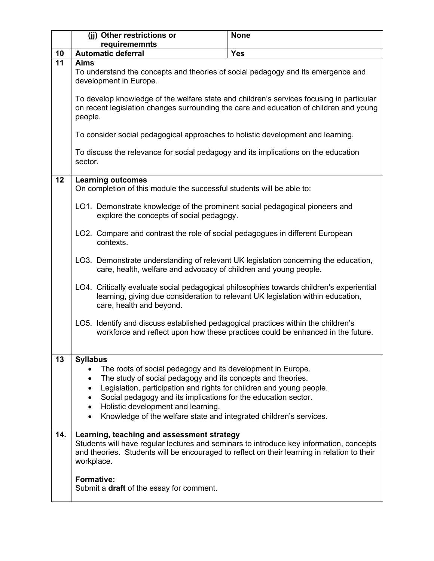|     | (jj) Other restrictions or                                                                                                                                                                           | <b>None</b>                                                                     |  |
|-----|------------------------------------------------------------------------------------------------------------------------------------------------------------------------------------------------------|---------------------------------------------------------------------------------|--|
|     | requirememnts                                                                                                                                                                                        |                                                                                 |  |
| 10  | <b>Automatic deferral</b>                                                                                                                                                                            | <b>Yes</b>                                                                      |  |
| 11  | <b>Aims</b><br>To understand the concepts and theories of social pedagogy and its emergence and<br>development in Europe.                                                                            |                                                                                 |  |
|     | To develop knowledge of the welfare state and children's services focusing in particular<br>on recent legislation changes surrounding the care and education of children and young<br>people.        |                                                                                 |  |
|     | To consider social pedagogical approaches to holistic development and learning.                                                                                                                      |                                                                                 |  |
|     | To discuss the relevance for social pedagogy and its implications on the education<br>sector.                                                                                                        |                                                                                 |  |
| 12  | <b>Learning outcomes</b><br>On completion of this module the successful students will be able to:                                                                                                    |                                                                                 |  |
|     | LO1. Demonstrate knowledge of the prominent social pedagogical pioneers and<br>explore the concepts of social pedagogy.                                                                              |                                                                                 |  |
|     | LO2. Compare and contrast the role of social pedagogues in different European<br>contexts.                                                                                                           |                                                                                 |  |
|     | LO3. Demonstrate understanding of relevant UK legislation concerning the education,<br>care, health, welfare and advocacy of children and young people.                                              |                                                                                 |  |
|     | LO4. Critically evaluate social pedagogical philosophies towards children's experiential<br>care, health and beyond.                                                                                 | learning, giving due consideration to relevant UK legislation within education, |  |
|     | LO5. Identify and discuss established pedagogical practices within the children's                                                                                                                    | workforce and reflect upon how these practices could be enhanced in the future. |  |
| 13  |                                                                                                                                                                                                      |                                                                                 |  |
|     | <b>Syllabus</b><br>The roots of social pedagogy and its development in Europe.                                                                                                                       |                                                                                 |  |
|     | The study of social pedagogy and its concepts and theories.<br>$\bullet$                                                                                                                             |                                                                                 |  |
|     | Legislation, participation and rights for children and young people.<br>$\bullet$                                                                                                                    |                                                                                 |  |
|     | Social pedagogy and its implications for the education sector.<br>٠<br>Holistic development and learning.<br>$\bullet$                                                                               |                                                                                 |  |
|     | Knowledge of the welfare state and integrated children's services.<br>$\bullet$                                                                                                                      |                                                                                 |  |
| 14. | Learning, teaching and assessment strategy                                                                                                                                                           |                                                                                 |  |
|     | Students will have regular lectures and seminars to introduce key information, concepts<br>and theories. Students will be encouraged to reflect on their learning in relation to their<br>workplace. |                                                                                 |  |
|     | <b>Formative:</b><br>Submit a draft of the essay for comment.                                                                                                                                        |                                                                                 |  |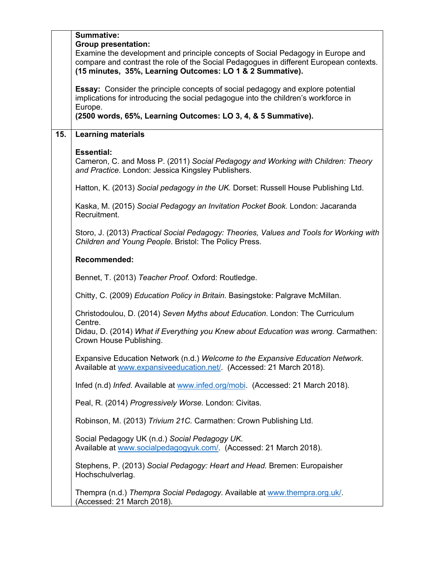|     | <b>Summative:</b><br><b>Group presentation:</b><br>Examine the development and principle concepts of Social Pedagogy in Europe and<br>compare and contrast the role of the Social Pedagogues in different European contexts.<br>(15 minutes, 35%, Learning Outcomes: LO 1 & 2 Summative). |  |  |
|-----|-------------------------------------------------------------------------------------------------------------------------------------------------------------------------------------------------------------------------------------------------------------------------------------------|--|--|
|     | <b>Essay:</b> Consider the principle concepts of social pedagogy and explore potential<br>implications for introducing the social pedagogue into the children's workforce in<br>Europe.<br>(2500 words, 65%, Learning Outcomes: LO 3, 4, & 5 Summative).                                  |  |  |
| 15. | <b>Learning materials</b>                                                                                                                                                                                                                                                                 |  |  |
|     | <b>Essential:</b><br>Cameron, C. and Moss P. (2011) Social Pedagogy and Working with Children: Theory<br>and Practice. London: Jessica Kingsley Publishers.                                                                                                                               |  |  |
|     | Hatton, K. (2013) Social pedagogy in the UK. Dorset: Russell House Publishing Ltd.                                                                                                                                                                                                        |  |  |
|     | Kaska, M. (2015) Social Pedagogy an Invitation Pocket Book. London: Jacaranda<br>Recruitment.                                                                                                                                                                                             |  |  |
|     | Storo, J. (2013) Practical Social Pedagogy: Theories, Values and Tools for Working with<br>Children and Young People. Bristol: The Policy Press.                                                                                                                                          |  |  |
|     | Recommended:                                                                                                                                                                                                                                                                              |  |  |
|     | Bennet, T. (2013) Teacher Proof. Oxford: Routledge.                                                                                                                                                                                                                                       |  |  |
|     | Chitty, C. (2009) Education Policy in Britain. Basingstoke: Palgrave McMillan.                                                                                                                                                                                                            |  |  |
|     | Christodoulou, D. (2014) Seven Myths about Education. London: The Curriculum                                                                                                                                                                                                              |  |  |
|     | Centre.<br>Didau, D. (2014) What if Everything you Knew about Education was wrong. Carmathen:<br>Crown House Publishing.                                                                                                                                                                  |  |  |
|     | Expansive Education Network (n.d.) Welcome to the Expansive Education Network.<br>Available at www.expansiveeducation.net/. (Accessed: 21 March 2018).                                                                                                                                    |  |  |
|     | Infed (n.d) Infed. Available at www.infed.org/mobi. (Accessed: 21 March 2018).                                                                                                                                                                                                            |  |  |
|     | Peal, R. (2014) Progressively Worse. London: Civitas.                                                                                                                                                                                                                                     |  |  |
|     | Robinson, M. (2013) Trivium 21C. Carmathen: Crown Publishing Ltd.                                                                                                                                                                                                                         |  |  |
|     | Social Pedagogy UK (n.d.) Social Pedagogy UK.<br>Available at www.socialpedagogyuk.com/. (Accessed: 21 March 2018).                                                                                                                                                                       |  |  |
|     | Stephens, P. (2013) Social Pedagogy: Heart and Head. Bremen: Europaisher<br>Hochschulverlag.                                                                                                                                                                                              |  |  |
|     | Thempra (n.d.) Thempra Social Pedagogy. Available at www.thempra.org.uk/<br>(Accessed: 21 March 2018).                                                                                                                                                                                    |  |  |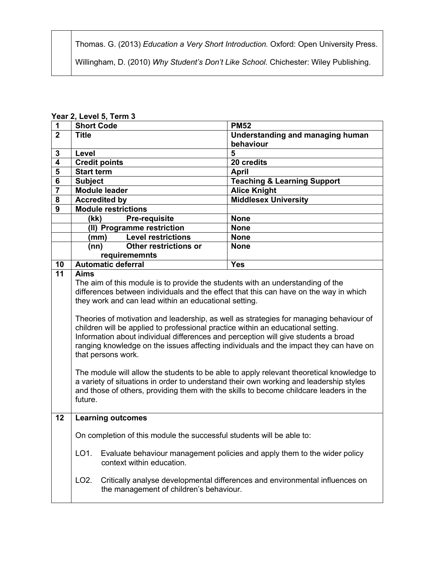Thomas. G. (2013) *Education a Very Short Introduction.* Oxford: Open University Press.

Willingham, D. (2010) *Why Student's Don't Like School.* Chichester: Wiley Publishing.

| $\mathbf 1$             | <b>Short Code</b>                                                                                                                                                                                                                                                                                                                                                                                                                                                                                                                                                                                                                                                                                                                                                                                                                                                                                                             | <b>PM52</b>                                                                  |  |
|-------------------------|-------------------------------------------------------------------------------------------------------------------------------------------------------------------------------------------------------------------------------------------------------------------------------------------------------------------------------------------------------------------------------------------------------------------------------------------------------------------------------------------------------------------------------------------------------------------------------------------------------------------------------------------------------------------------------------------------------------------------------------------------------------------------------------------------------------------------------------------------------------------------------------------------------------------------------|------------------------------------------------------------------------------|--|
| $\overline{2}$          | <b>Title</b>                                                                                                                                                                                                                                                                                                                                                                                                                                                                                                                                                                                                                                                                                                                                                                                                                                                                                                                  | <b>Understanding and managing human</b>                                      |  |
|                         |                                                                                                                                                                                                                                                                                                                                                                                                                                                                                                                                                                                                                                                                                                                                                                                                                                                                                                                               | behaviour                                                                    |  |
| $\mathbf{3}$            | Level                                                                                                                                                                                                                                                                                                                                                                                                                                                                                                                                                                                                                                                                                                                                                                                                                                                                                                                         | 5                                                                            |  |
| $\overline{\mathbf{4}}$ | <b>Credit points</b>                                                                                                                                                                                                                                                                                                                                                                                                                                                                                                                                                                                                                                                                                                                                                                                                                                                                                                          | 20 credits                                                                   |  |
| 5                       | <b>Start term</b>                                                                                                                                                                                                                                                                                                                                                                                                                                                                                                                                                                                                                                                                                                                                                                                                                                                                                                             | <b>April</b>                                                                 |  |
| $\overline{\mathbf{6}}$ | <b>Subject</b>                                                                                                                                                                                                                                                                                                                                                                                                                                                                                                                                                                                                                                                                                                                                                                                                                                                                                                                | <b>Teaching &amp; Learning Support</b>                                       |  |
| $\overline{7}$          | <b>Module leader</b>                                                                                                                                                                                                                                                                                                                                                                                                                                                                                                                                                                                                                                                                                                                                                                                                                                                                                                          | <b>Alice Knight</b>                                                          |  |
| 8                       | <b>Accredited by</b>                                                                                                                                                                                                                                                                                                                                                                                                                                                                                                                                                                                                                                                                                                                                                                                                                                                                                                          | <b>Middlesex University</b>                                                  |  |
| 9                       | <b>Module restrictions</b>                                                                                                                                                                                                                                                                                                                                                                                                                                                                                                                                                                                                                                                                                                                                                                                                                                                                                                    |                                                                              |  |
|                         | (kk)<br><b>Pre-requisite</b>                                                                                                                                                                                                                                                                                                                                                                                                                                                                                                                                                                                                                                                                                                                                                                                                                                                                                                  | <b>None</b>                                                                  |  |
|                         | (II) Programme restriction                                                                                                                                                                                                                                                                                                                                                                                                                                                                                                                                                                                                                                                                                                                                                                                                                                                                                                    | <b>None</b>                                                                  |  |
|                         | <b>Level restrictions</b><br>(mm)                                                                                                                                                                                                                                                                                                                                                                                                                                                                                                                                                                                                                                                                                                                                                                                                                                                                                             | <b>None</b>                                                                  |  |
|                         | Other restrictions or<br>(nn)                                                                                                                                                                                                                                                                                                                                                                                                                                                                                                                                                                                                                                                                                                                                                                                                                                                                                                 | <b>None</b>                                                                  |  |
|                         | requirememnts                                                                                                                                                                                                                                                                                                                                                                                                                                                                                                                                                                                                                                                                                                                                                                                                                                                                                                                 |                                                                              |  |
| 10                      | <b>Automatic deferral</b>                                                                                                                                                                                                                                                                                                                                                                                                                                                                                                                                                                                                                                                                                                                                                                                                                                                                                                     | <b>Yes</b>                                                                   |  |
| $\overline{11}$         | <b>Aims</b><br>The aim of this module is to provide the students with an understanding of the<br>differences between individuals and the effect that this can have on the way in which<br>they work and can lead within an educational setting.<br>Theories of motivation and leadership, as well as strategies for managing behaviour of<br>children will be applied to professional practice within an educational setting.<br>Information about individual differences and perception will give students a broad<br>ranging knowledge on the issues affecting individuals and the impact they can have on<br>that persons work.<br>The module will allow the students to be able to apply relevant theoretical knowledge to<br>a variety of situations in order to understand their own working and leadership styles<br>and those of others, providing them with the skills to become childcare leaders in the<br>future. |                                                                              |  |
| 12                      | <b>Learning outcomes</b><br>On completion of this module the successful students will be able to:                                                                                                                                                                                                                                                                                                                                                                                                                                                                                                                                                                                                                                                                                                                                                                                                                             |                                                                              |  |
|                         |                                                                                                                                                                                                                                                                                                                                                                                                                                                                                                                                                                                                                                                                                                                                                                                                                                                                                                                               |                                                                              |  |
|                         | LO <sub>1</sub> .<br>Evaluate behaviour management policies and apply them to the wider policy<br>context within education.                                                                                                                                                                                                                                                                                                                                                                                                                                                                                                                                                                                                                                                                                                                                                                                                   |                                                                              |  |
|                         | LO <sub>2</sub> .<br>the management of children's behaviour.                                                                                                                                                                                                                                                                                                                                                                                                                                                                                                                                                                                                                                                                                                                                                                                                                                                                  | Critically analyse developmental differences and environmental influences on |  |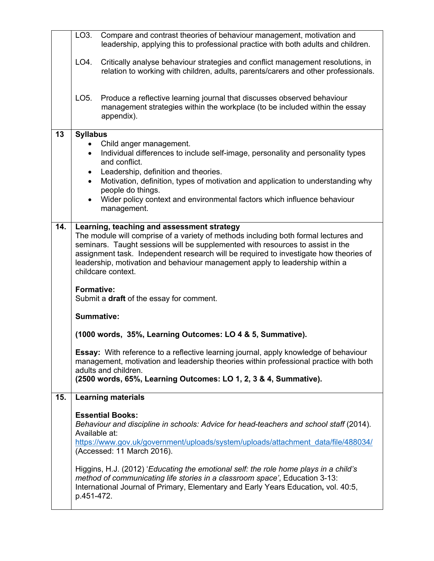|     | LO3.                                                                                                                                                                                                                                                                                                                                                                                                                                                                                | Compare and contrast theories of behaviour management, motivation and<br>leadership, applying this to professional practice with both adults and children.                                                                                                                                                                                                                                                  |  |
|-----|-------------------------------------------------------------------------------------------------------------------------------------------------------------------------------------------------------------------------------------------------------------------------------------------------------------------------------------------------------------------------------------------------------------------------------------------------------------------------------------|-------------------------------------------------------------------------------------------------------------------------------------------------------------------------------------------------------------------------------------------------------------------------------------------------------------------------------------------------------------------------------------------------------------|--|
|     | LO4.                                                                                                                                                                                                                                                                                                                                                                                                                                                                                | Critically analyse behaviour strategies and conflict management resolutions, in<br>relation to working with children, adults, parents/carers and other professionals.                                                                                                                                                                                                                                       |  |
|     | LO5.                                                                                                                                                                                                                                                                                                                                                                                                                                                                                | Produce a reflective learning journal that discusses observed behaviour<br>management strategies within the workplace (to be included within the essay<br>appendix).                                                                                                                                                                                                                                        |  |
| 13  | <b>Syllabus</b>                                                                                                                                                                                                                                                                                                                                                                                                                                                                     |                                                                                                                                                                                                                                                                                                                                                                                                             |  |
|     |                                                                                                                                                                                                                                                                                                                                                                                                                                                                                     | Child anger management.<br>Individual differences to include self-image, personality and personality types<br>and conflict.                                                                                                                                                                                                                                                                                 |  |
|     | $\bullet$<br>$\bullet$                                                                                                                                                                                                                                                                                                                                                                                                                                                              | Leadership, definition and theories.<br>Motivation, definition, types of motivation and application to understanding why<br>people do things.                                                                                                                                                                                                                                                               |  |
|     |                                                                                                                                                                                                                                                                                                                                                                                                                                                                                     | Wider policy context and environmental factors which influence behaviour<br>management.                                                                                                                                                                                                                                                                                                                     |  |
| 14. | Learning, teaching and assessment strategy<br>The module will comprise of a variety of methods including both formal lectures and<br>seminars. Taught sessions will be supplemented with resources to assist in the<br>assignment task. Independent research will be required to investigate how theories of<br>leadership, motivation and behaviour management apply to leadership within a<br>childcare context.<br><b>Formative:</b><br>Submit a draft of the essay for comment. |                                                                                                                                                                                                                                                                                                                                                                                                             |  |
|     |                                                                                                                                                                                                                                                                                                                                                                                                                                                                                     |                                                                                                                                                                                                                                                                                                                                                                                                             |  |
|     |                                                                                                                                                                                                                                                                                                                                                                                                                                                                                     | <b>Summative:</b>                                                                                                                                                                                                                                                                                                                                                                                           |  |
|     | (1000 words, 35%, Learning Outcomes: LO 4 & 5, Summative).                                                                                                                                                                                                                                                                                                                                                                                                                          |                                                                                                                                                                                                                                                                                                                                                                                                             |  |
|     | Essay: With reference to a reflective learning journal, apply knowledge of behaviour<br>management, motivation and leadership theories within professional practice with both<br>adults and children.                                                                                                                                                                                                                                                                               |                                                                                                                                                                                                                                                                                                                                                                                                             |  |
|     |                                                                                                                                                                                                                                                                                                                                                                                                                                                                                     | (2500 words, 65%, Learning Outcomes: LO 1, 2, 3 & 4, Summative).                                                                                                                                                                                                                                                                                                                                            |  |
| 15. |                                                                                                                                                                                                                                                                                                                                                                                                                                                                                     | <b>Learning materials</b>                                                                                                                                                                                                                                                                                                                                                                                   |  |
|     | Available at:                                                                                                                                                                                                                                                                                                                                                                                                                                                                       | <b>Essential Books:</b><br>Behaviour and discipline in schools: Advice for head-teachers and school staff (2014).<br>https://www.gov.uk/government/uploads/system/uploads/attachment_data/file/488034/<br>(Accessed: 11 March 2016).<br>Higgins, H.J. (2012) 'Educating the emotional self: the role home plays in a child's<br>method of communicating life stories in a classroom space', Education 3-13: |  |
|     | p.451-472.                                                                                                                                                                                                                                                                                                                                                                                                                                                                          | International Journal of Primary, Elementary and Early Years Education, vol. 40:5,                                                                                                                                                                                                                                                                                                                          |  |